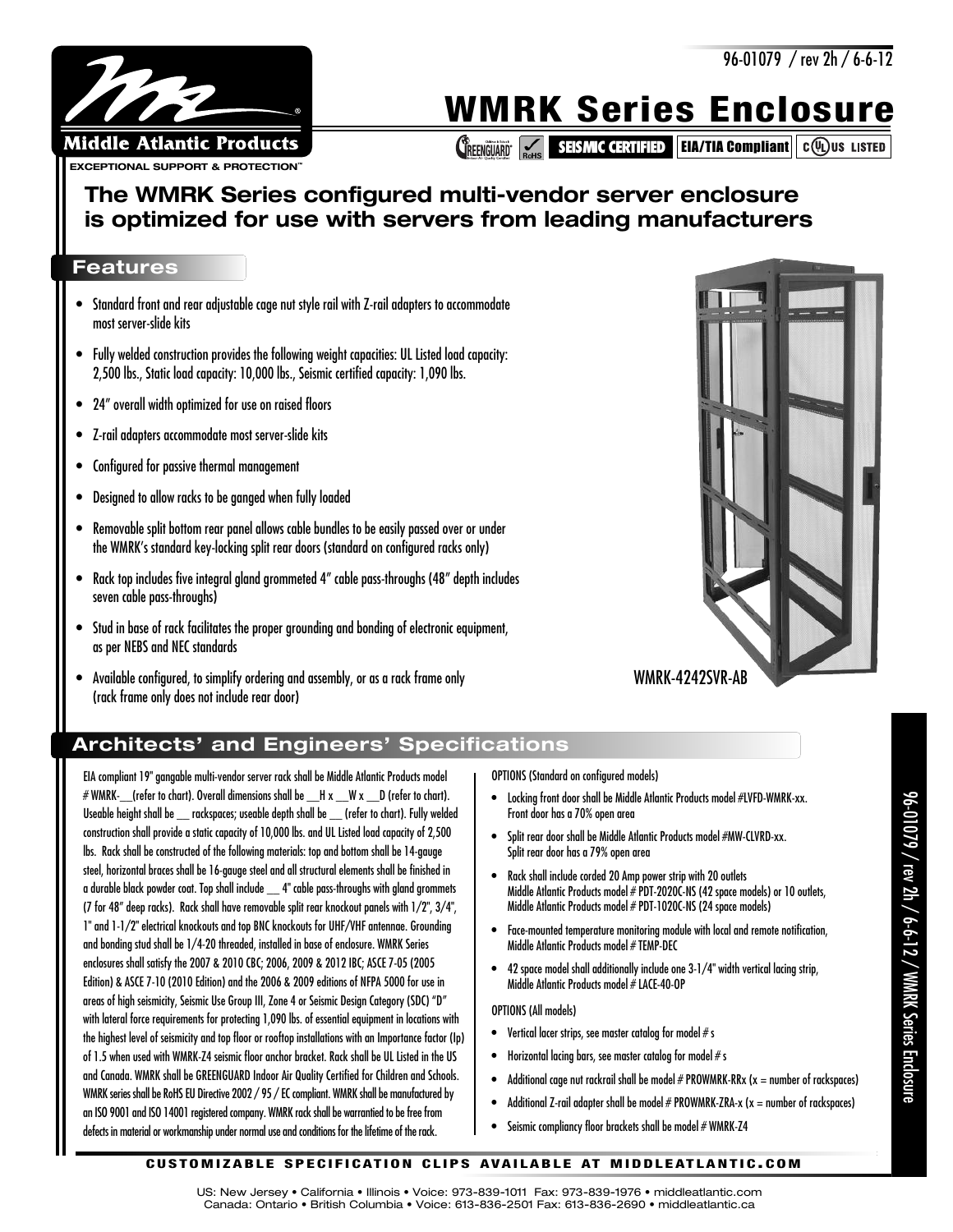

# **WMRK Series Enclosure**

**CREENGUARD SEISMIC CERTIFIED EIA/TIA Compliant C(VI) US LISTED** 

# **The WMRK Series configured multi-vendor server enclosure is optimized for use with servers from leading manufacturers**

### **Features**

- Standard front and rear adjustable cage nut style rail with Z-rail adapters to accommodate most server-slide kits
- Fully welded construction provides the following weight capacities: UL Listed load capacity: 2,500 lbs., Static load capacity: 10,000 lbs., Seismic certified capacity: 1,090 lbs.
- 24" overall width optimized for use on raised floors
- Z-rail adapters accommodate most server-slide kits
- Configured for passive thermal management
- Designed to allow racks to be ganged when fully loaded
- Removable split bottom rear panel allows cable bundles to be easily passed over or under the WMRK's standard key-locking split rear doors (standard on configured racks only)
- Rack top includes five integral gland grommeted 4" cable pass-throughs (48" depth includes seven cable pass-throughs)
- Stud in base of rack facilitates the proper grounding and bonding of electronic equipment, as per NEBS and NEC standards
- Available configured, to simplify ordering and assembly, or as a rack frame only (rack frame only does not include rear door)



WMRK-4242SVR-AB

## **Architects' and Engineers' Specifications**

EIA compliant 19" gangable multi-vendor server rack shall be Middle Atlantic Products model  $#$  WMRK- (refer to chart). Overall dimensions shall be  $_H x - W x = D$  (refer to chart). Useable height shall be \_\_ rackspaces; useable depth shall be \_\_ (refer to chart). Fully welded construction shall provide a static capacity of 10,000 lbs. and UL Listed load capacity of 2,500 lbs. Rack shall be constructed of the following materials: top and bottom shall be 14-gauge steel, horizontal braces shall be 16-gauge steel and all structural elements shall be finished in a durable black powder coat. Top shall include \_\_ 4" cable pass-throughs with gland grommets (7 for 48" deep racks). Rack shall have removable split rear knockout panels with 1/2", 3/4", 1" and 1-1/2" electrical knockouts and top BNC knockouts for UHF/VHF antennae. Grounding and bonding stud shall be 1/4-20 threaded, installed in base of enclosure. WMRK Series enclosures shall satisfy the 2007 & 2010 CBC; 2006, 2009 & 2012 IBC; ASCE 7-05 (2005 Edition) & ASCE 7-10 (2010 Edition) and the 2006 & 2009 editions of NFPA 5000 for use in areas of high seismicity, Seismic Use Group III, Zone 4 or Seismic Design Category (SDC) "D" with lateral force requirements for protecting 1,090 lbs. of essential equipment in locations with the highest level of seismicity and top floor or rooftop installations with an Importance factor (Ip) of 1.5 when used with WMRK-Z4 seismic floor anchor bracket. Rack shall be UL Listed in the US and Canada. WMRK shall be GREENGUARD Indoor Air Quality Certified for Children and Schools. WMRK series shall be RoHS EU Directive 2002 / 95 / EC compliant. WMRK shall be manufactured by an ISO 9001 and ISO 14001 registered company. WMRK rack shall be warrantied to be free from defects in material or workmanship under normal use and conditions for the lifetime of the rack.

OPTIONS (Standard on configured models)

- Locking front door shall be Middle Atlantic Products model #LVFD-WMRK-xx. Front door has a 70% open area
- Split rear door shall be Middle Atlantic Products model #MW-CLVRD-xx. Split rear door has a 79% open area
- Rack shall include corded 20 Amp power strip with 20 outlets Middle Atlantic Products model # PDT-2020C-NS (42 space models) or 10 outlets, Middle Atlantic Products model # PDT-1020C-NS (24 space models)
- Face-mounted temperature monitoring module with local and remote notification, Middle Atlantic Products model # TEMP-DEC
- 42 space model shall additionally include one 3-1/4" width vertical lacing strip, Middle Atlantic Products model # LACE-40-OP

#### OPTIONS (All models)

- Vertical lacer strips, see master catalog for model  $\#$  s
- Horizontal lacing bars, see master catalog for model  $\#$  s
- Additional cage nut rackrail shall be model  $#$  PROWMRK-RRx ( $x =$  number of rackspaces)
- Additional Z-rail adapter shall be model  $#$  PROWMRK-ZRA-x ( $x =$  number of rackspaces)
- Seismic compliancy floor brackets shall be model # WMRK-Z4

US: New Jersey • California • Illinois • Voice: 973-839-1011 Fax: 973-839-1976 • middleatlantic.com Canada: Ontario • British Columbia • Voice: 613-836-2501 Fax: 613-836-2690 • middleatlantic.ca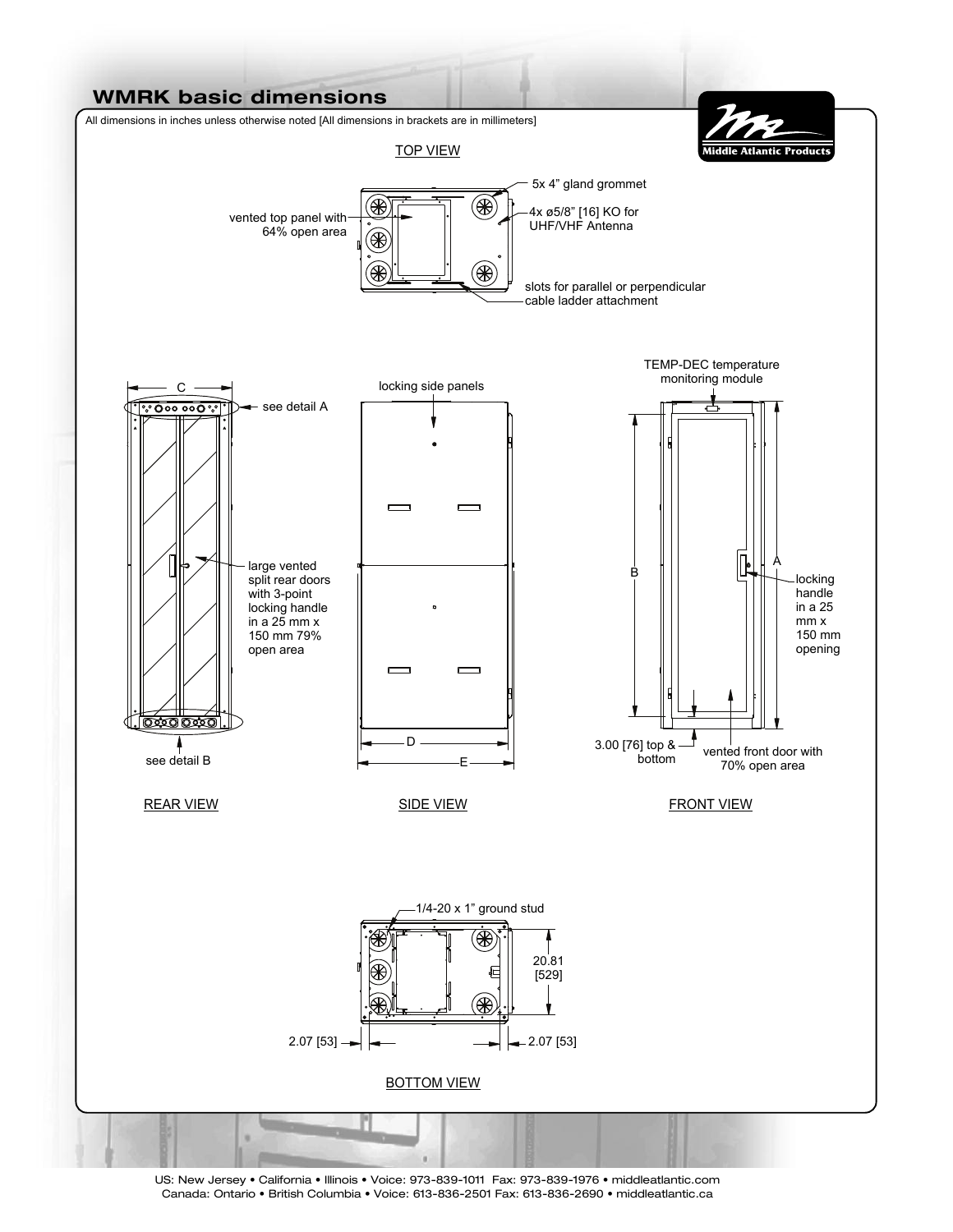

US: New Jersey • California • Illinois • Voice: 973-839-1011 Fax: 973-839-1976 • middleatlantic.com Canada: Ontario • British Columbia • Voice: 613-836-2501 Fax: 613-836-2690 • middleatlantic.ca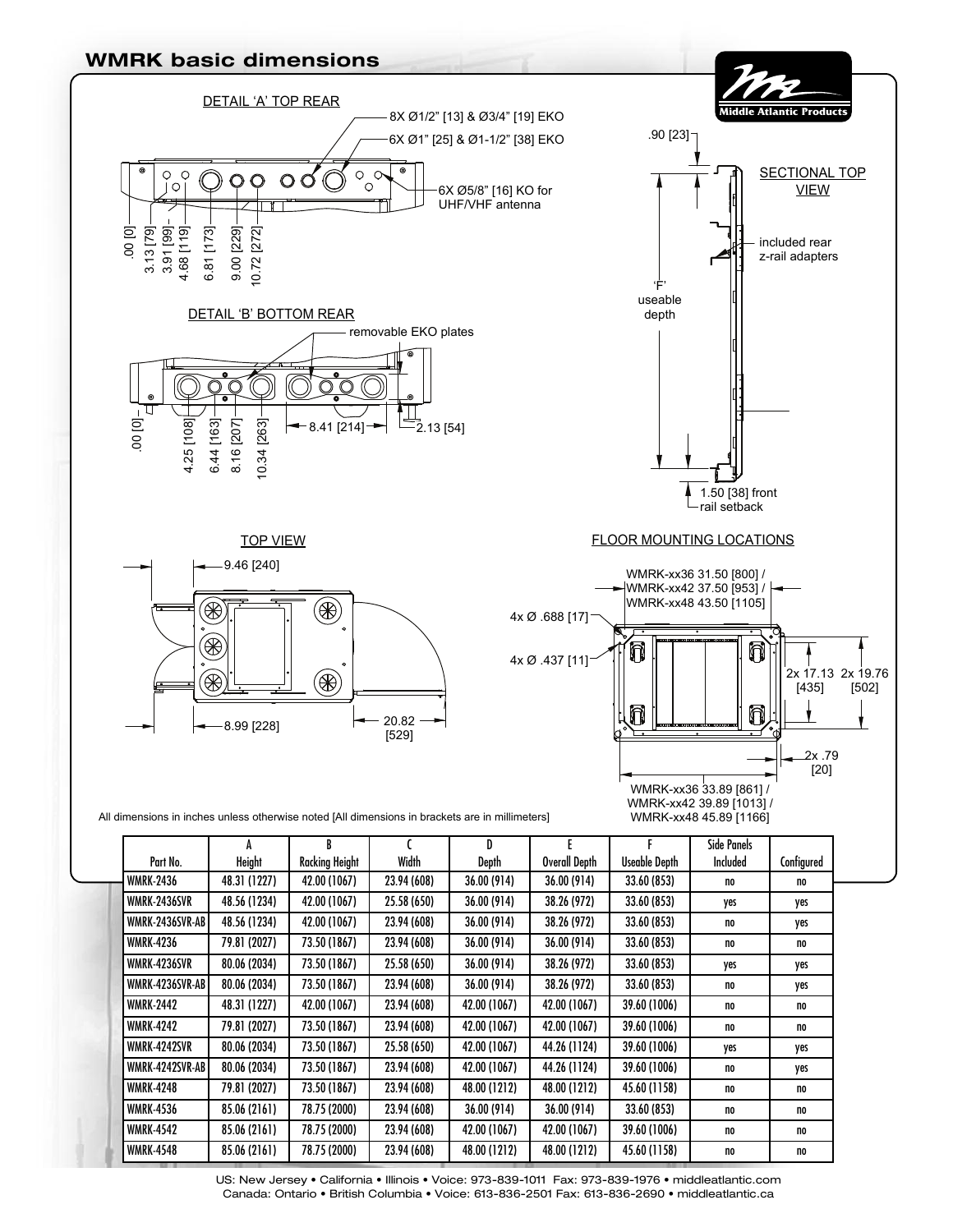

US: New Jersey • California • Illinois • Voice: 973-839-1011 Fax: 973-839-1976 • middleatlantic.com Canada: Ontario • British Columbia • Voice: 613-836-2501 Fax: 613-836-2690 • middleatlantic.ca

WMRK-4548 | 85.06(2161) | 78.75 (2000) | 23.94 (608) | 48.00 (1212) | 48.00 (1212) | 45.60 (1158) | no | no